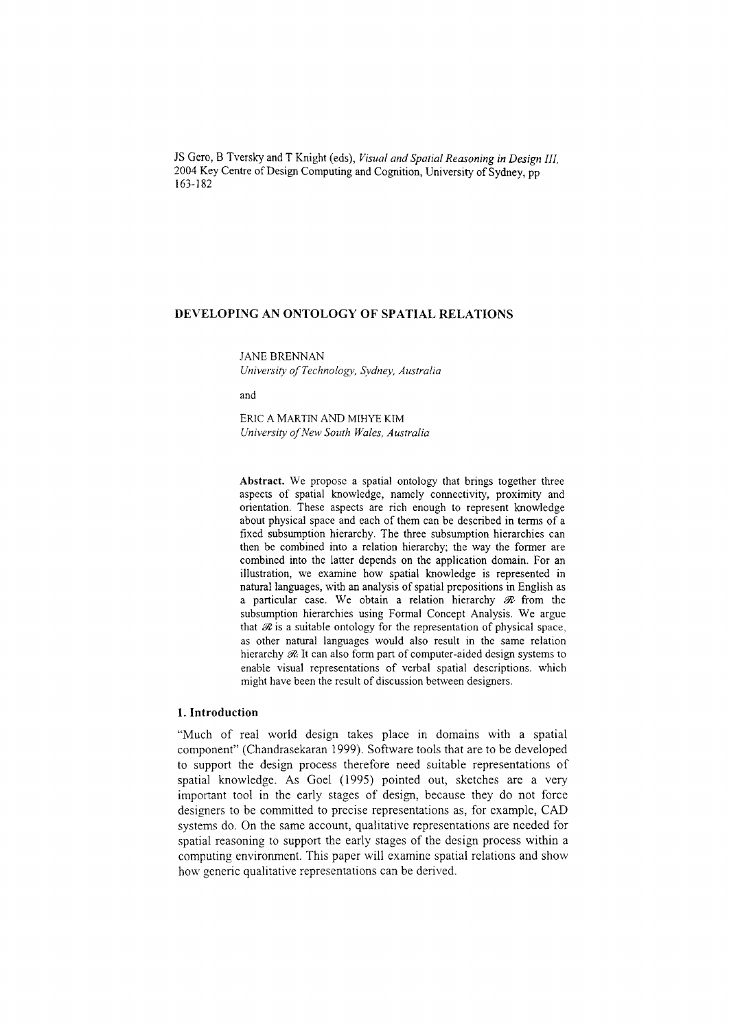IS Gero, B Tversky and T Knight (eds), *Visual and Spatial Reasoning in Design III,* 2004 Key Centre of Design Computing and Cognition, University of Sydney, pp 163-182

# **DEVELOPING AN ONTOLOGY OF SPATIAL RELATIONS**

JANE BRENNAN *University a/Technology, Sydney, Australia*

and

ERIC A MARTINAND MIHYEKIM *University a/New South Wales, Australia*

**Abstract.** We propose a spatial ontology that brings together three aspects of spatial knowledge, namely connectivity, proximity and orientation. These aspects are rich enough to represent knowledge about physical space and each of them can be described **in** terms of a fixed subsumption hierarchy. The three subsumption hierarchies can then be combined into a relation hierarchy; the way the former are combined into the latter depends on the application domain. For an illustration, we examine how spatial knowledge is represented in natural languages, with an analysis of spatial prepositions in English as a particular case. We obtain a relation hierarchy  $\mathcal R$  from the subsumption hierarchies using Formal Concept Analysis. We argue that  $\mathcal R$  is a suitable ontology for the representation of physical space, as other natural languages would also result in the same relation hierarchy  $\mathcal{R}$ . It can also form part of computer-aided design systems to enable visual representations of verbal spatial descriptions. which might have been the result of discussion between designers.

# **1. Introduction**

"Much of real world design takes place in domains with a spatial component" (Chandrasekaran 1999). Software tools that are to be developed to support the design process therefore need suitable representations of spatial knowledge. As Goel (1995) pointed out, sketches are a very important tool in the early stages of design, because they do not force designers to be committed to precise representations as, for example, CAD systems do. On the same account, qualitative representations are needed for spatial reasoning to support the early stages of the design process within a computing environment. This paper will examine spatial relations and show how generic qualitative representations can be derived.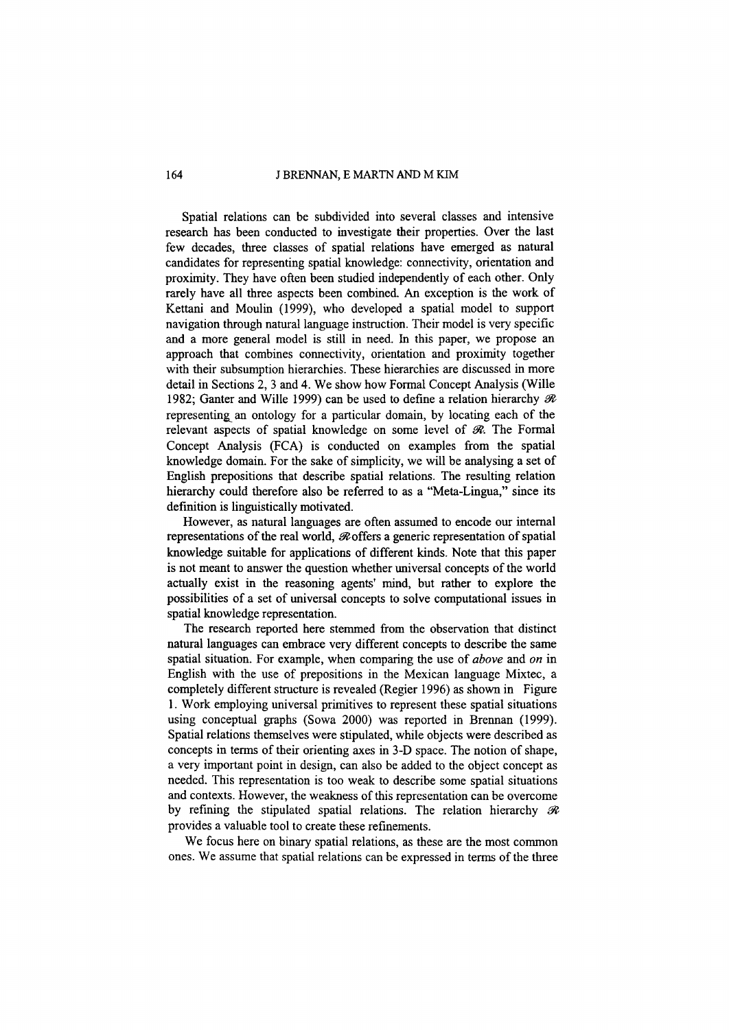#### 164 J BRENNAN, E MARTN AND M KIM

Spatial relations can be subdivided into several classes and intensive research has been conducted to investigate their properties. Over the last few decades, three classes of spatial relations have emerged as natural candidates for representing spatial knowledge: connectivity, orientation and proximity. They have often been studied independently of each other. Only rarely have all three aspects been combined. An exception is the work of Kettani and Moulin (1999), who developed a spatial model to support navigation through natural language instruction. Their model is very specific and a more general model is still in need. In this paper, we propose an approach that combines connectivity, orientation and proximity together with their subsumption hierarchies. These hierarchies are discussed in more detail in Sections 2,3 and 4. We show how Formal Concept Analysis (Wille 1982; Ganter and Wille 1999) can be used to define a relation hierarchy *flt* representing an ontology for a particular domain, by locating each of the relevant aspects of spatial knowledge on some level of  $\mathcal{R}$ . The Formal Concept Analysis (FCA) is conducted on examples from the spatial knowledge domain. For the sake of simplicity, we will be analysing a set of English prepositions that describe spatial relations. The resulting relation hierarchy could therefore also be referred to as a "Meta-Lingua," since its definition is linguistically motivated.

However, as natural languages are often assumed to encode our internal representations of the real world,  $\Re$  offers a generic representation of spatial knowledge suitable for applications of different kinds. Note that this paper is not meant to answer the question whether universal concepts of the world actually exist in the reasoning agents' mind, but rather to explore the possibilities of a set of universal concepts to solve computational issues in spatial knowledge representation.

The research reported here stemmed from the observation that distinct natural languages can embrace very different concepts to describe the same spatial situation. For example, when comparing the use of *above* and *on* in English with the use of prepositions in the Mexican language Mixtec, a completely different structure is revealed (Regier 1996) as shown in Figure I. Work employing universal primitives to represent these spatial situations using conceptual graphs (Sowa 2000) was reported in Brennan (1999). Spatial relations themselves were stipulated, while objects were described as concepts in terms of their orienting axes in 3-D space. The notion of shape, a very important point in design, can also be added to the object concept as needed. This representation is too weak to describe some spatial situations and contexts. However, the weakness of this representation can be overcome by refining the stipulated spatial relations. The relation hierarchy  $\mathcal R$ provides a valuable tool to create these refinements.

We focus here on binary spatial relations, as these are the most common ones. We assume that spatial relations can be expressed in terms of the three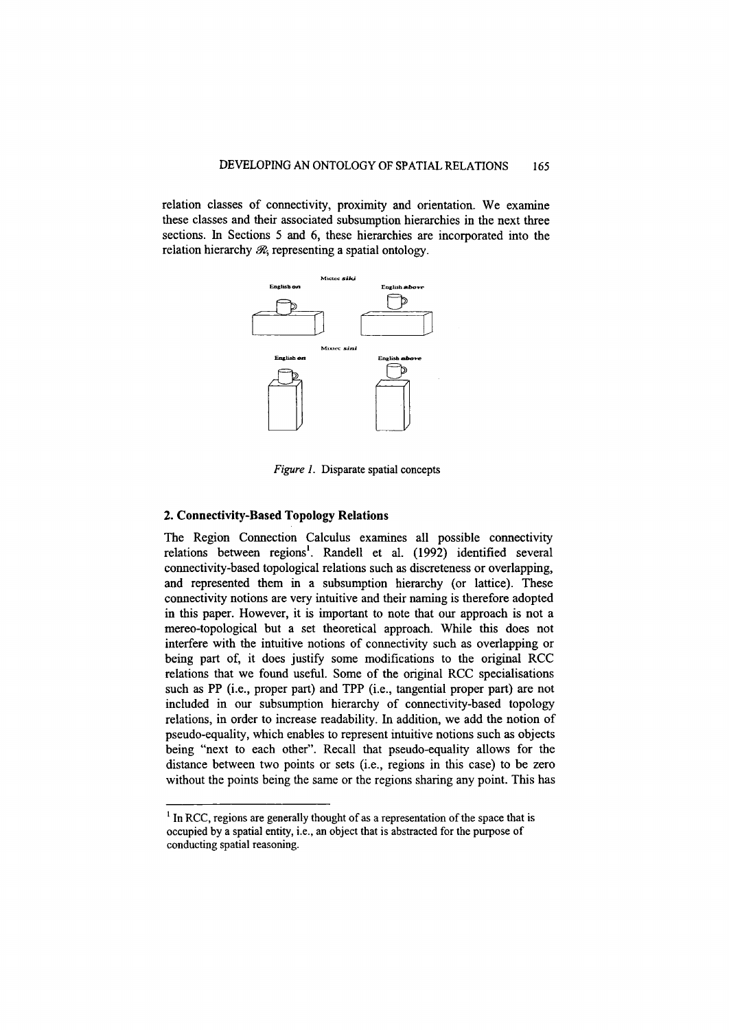relation classes of connectivity, proximity and orientation. We examine these classes and their associated subsumption hierarchies in the next three sections. In Sections 5 and 6, these hierarchies are incorporated into the relation hierarchy  $R$ , representing a spatial ontology.



*Figure 1.* Disparate spatial concepts

## 2. Connectivity-Based Topology Relations

The Region Connection Calculus examines all possible connectivity relations between regions<sup>1</sup>. Randell et al. (1992) identified several connectivity-based topological relations such as discreteness or overlapping, and represented them in a subsumption hierarchy (or lattice). These connectivity notions are very intuitive and their naming is therefore adopted in this paper. However, it is important to note that our approach is not a mereo-topological but a set theoretical approach. While this does not interfere with the intuitive notions of connectivity such as overlapping or being part of, it does justify some modifications to the original RCC relations that we found useful. Some of the original RCC specialisations such as PP (i.e., proper part) and TPP (i.e., tangential proper part) are not included in our subsumption hierarchy of connectivity-based topology relations, in order to increase readability. In addition, we add the notion of pseudo-equality, which enables to represent intuitive notions such as objects being "next to each other". Recall that pseudo-equality allows for the distance between two points or sets (i.e., regions in this case) to be zero without the points being the same or the regions sharing any point. This has

 $1$  In RCC, regions are generally thought of as a representation of the space that is occupied by a spatial entity, i.e., an object that is abstracted for the purpose of conducting spatial reasoning.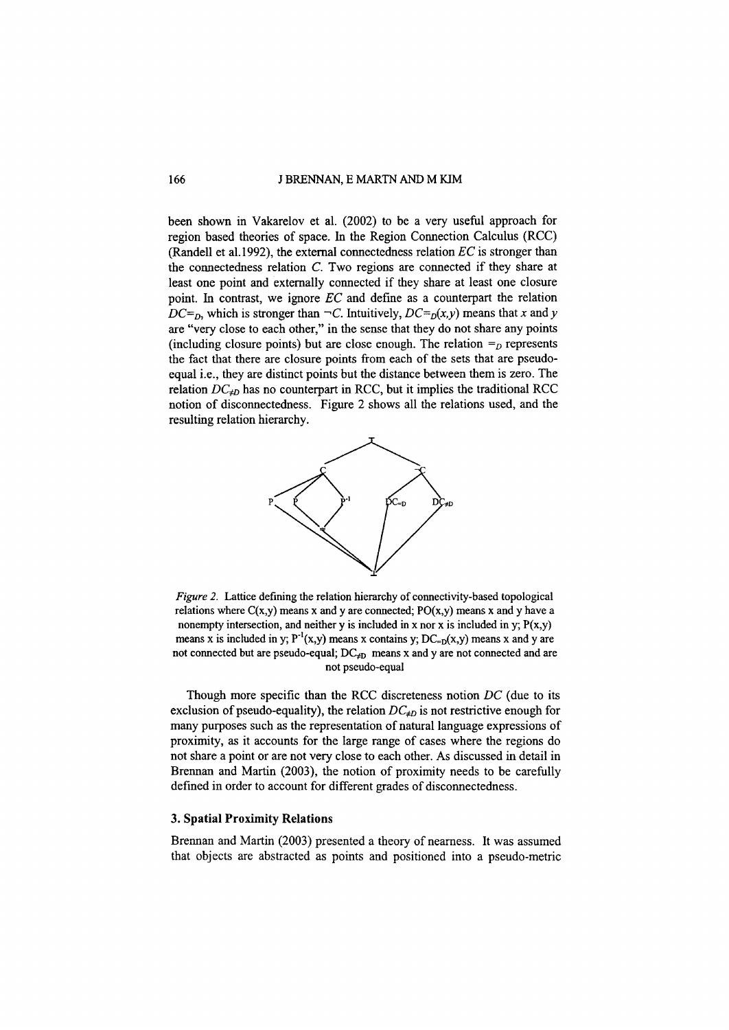#### 166 J BRENNAN, E MARTN AND M KIM

been shown in Vakarelov et al. (2002) to be a very useful approach for region based theories of space. In the Region Connection Calculus (RCC) (Randell et al.1992), the external connectedness relation *EC* is stronger than the connectedness relation C. Two regions are connected if they share at least one point and externally connected if they share at least one closure point. In contrast, we ignore *EC* and define as a counterpart the relation  $DC = D$ , which is stronger than  $\neg C$ . Intuitively,  $DC = D(x, y)$  means that *x* and *y* are "very close to each other," in the sense that they do not share any points (including closure points) but are close enough. The relation  $=$ <sub>*D*</sub> represents the fact that there are closure points from each of the sets that are pseudoequal i.e., they are distinct points but the distance between them is zero. The relation  $DC_{\neq D}$  has no counterpart in RCC, but it implies the traditional RCC notion of disconnectedness. Figure 2 shows all the relations used, and the resulting relation hierarchy.



*Figure* 2. Lattice defining the relation hierarchy of connectivity-based topological relations where  $C(x,y)$  means x and y are connected;  $PO(x,y)$  means x and y have a nonempty intersection, and neither y is included in x nor x is included in y;  $P(x,y)$ means x is included in y;  $P^{-1}(x,y)$  means x contains y;  $DC_{=D}(x,y)$  means x and y are not connected but are pseudo-equal;  $DC_{\neq D}$  means x and y are not connected and are not pseudo-equal

Though more specific than the RCC discreteness notion *DC* (due to its exclusion of pseudo-equality), the relation  $DC_{\neq D}$  is not restrictive enough for many purposes such as the representation of natural language expressions of proximity, as it accounts for the large range of cases where the regions do not share a point or are not very close to each other. As discussed in detail in Brennan and Martin (2003), the notion of proximity needs to be carefully defined in order to account for different grades of disconnectedness.

## 3. Spatial Proximity Relations

Brennan and Martin (2003) presented a theory of nearness. It was assumed that objects are abstracted as points and positioned into a pseudo-metric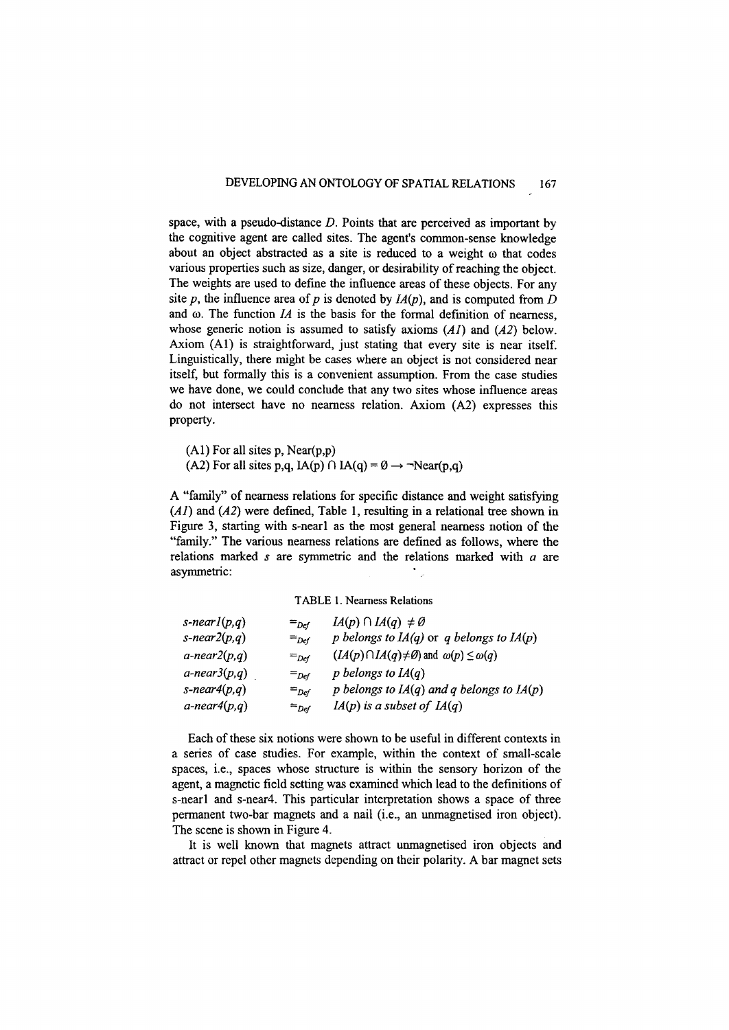space, with a pseudo-distance *D.* Points that are perceived as important by the cognitive agent are called sites. The agent's common-sense knowledge about an object abstracted as a site is reduced to a weight  $\omega$  that codes various properties such as size, danger, or desirability of reaching the object. The weights are used to define the influence areas of these objects. For any site *p*, the influence area of *p* is denoted by  $I_A(p)$ , and is computed from *D* and  $\omega$ . The function *IA* is the basis for the formal definition of nearness, whose generic notion is assumed to satisfy axioms *(AI)* and *(A2)* below. Axiom (AI) is straightforward, just stating that every site is near itself. Linguistically, there might be cases where an object is not considered near itself, but formally this is a convenient assumption. From the case studies we have done, we could conclude that any two sites whose influence areas do not intersect have no nearness relation. Axiom (A2) expresses this property.

(AI) For all sites p, Near(p,p)

(A2) For all sites p,q,  $IA(p) \cap IA(q) = \emptyset \rightarrow \neg Near(p,q)$ 

A "family" of nearness relations for specific distance and weight satisfying *(AI)* and *(A2)* were defined, Table 1, resulting in a relational tree shown in Figure 3, starting with s-nearl as the most general nearness notion of the "family." The various nearness relations are defined as follows, where the relations marked *s* are symmetric and the relations marked with *a* are asymmetric:

TABLE I. Nearness Relations

| s-nearl $(p,q)$    | $=_{Def}$ | $IA(p) \cap IA(q) \neq \emptyset$                                  |
|--------------------|-----------|--------------------------------------------------------------------|
| s-near $2(p,q)$    | $=_{Def}$ | p belongs to $IA(q)$ or q belongs to $IA(p)$                       |
| $a$ -near $2(p,q)$ | $=_{Def}$ | $(LA(p) \cap LA(q) \neq \emptyset)$ and $\omega(p) \leq \omega(q)$ |
| $a$ -near $3(p,q)$ | $=_{Def}$ | p belongs to $IA(q)$                                               |
| s-near4 $(p,q)$    | $=$ Def   | p belongs to $IA(q)$ and q belongs to $IA(p)$                      |
| $a$ -near4 $(p,q)$ | $=_{Def}$ | $IA(p)$ is a subset of $IA(q)$                                     |

Each of these six notions were shown to be useful in different contexts in a series of case studies. For example, within the context of small-scale spaces, i.e., spaces whose structure is within the sensory horizon of the agent, a magnetic field setting was examined which lead to the definitions of s-nearl and s-near4. This particular interpretation shows a space of three permanent two-bar magnets and a nail (i.e., an unmagnetised iron object). The scene is shown in Figure 4.

It is well known that magnets attract unmagnetised iron objects and attract or repel other magnets depending on their polarity. A bar magnet sets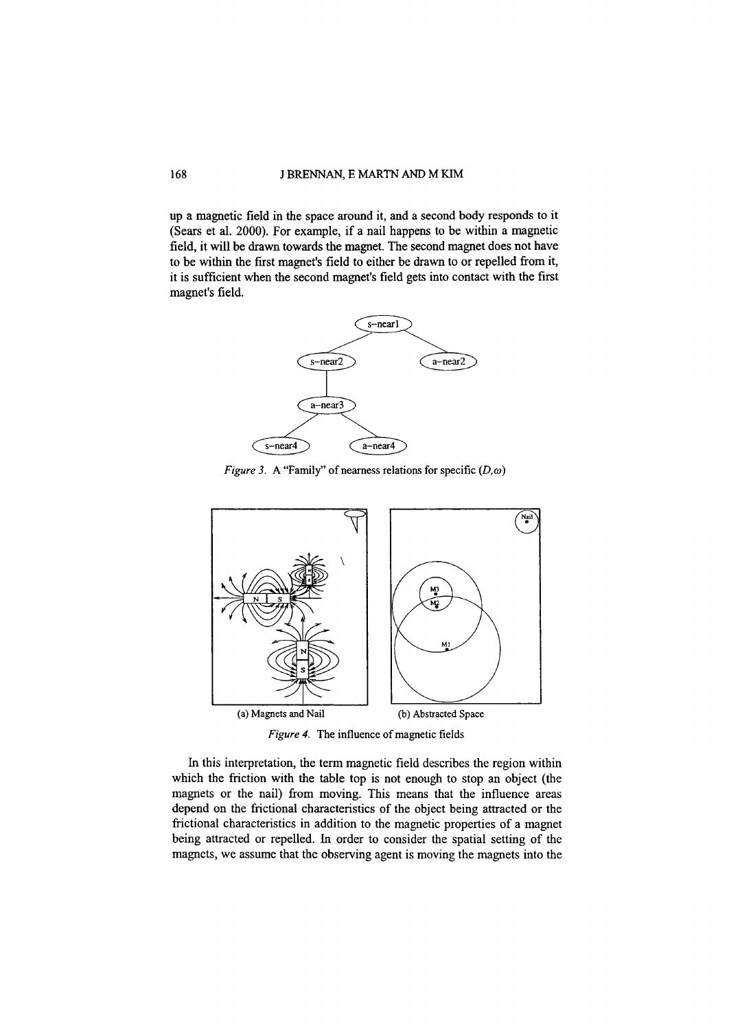up a magnetic field in the space around it, and a second body responds to it (Sears et al. 2000). For example, if a nail happens to be within a magnetic field, it will be drawn towards the magnet. The second magnet does not have to be within the first magnet's field to either be drawn to or repelled from it, it is sufficient when the second magnet's field gets into contact with the first magnet's field.



*Figure 3.* A "Family" of nearness relations for specific  $(D, \omega)$ 



Figure 4. The influence of magnetic fields

In this interpretation, the term magnetic field describes the region within which the friction with the table top is not enough to stop an object (the magnets or the nail) from moving. This means that the influence areas depend on the frictional characteristics of the object being attracted or the frictional characteristics in addition to the magnetic properties of a magnet being attracted or repelled. In order to consider the spatial setting of the magnets, we assume that the observing agent is moving the magnets into the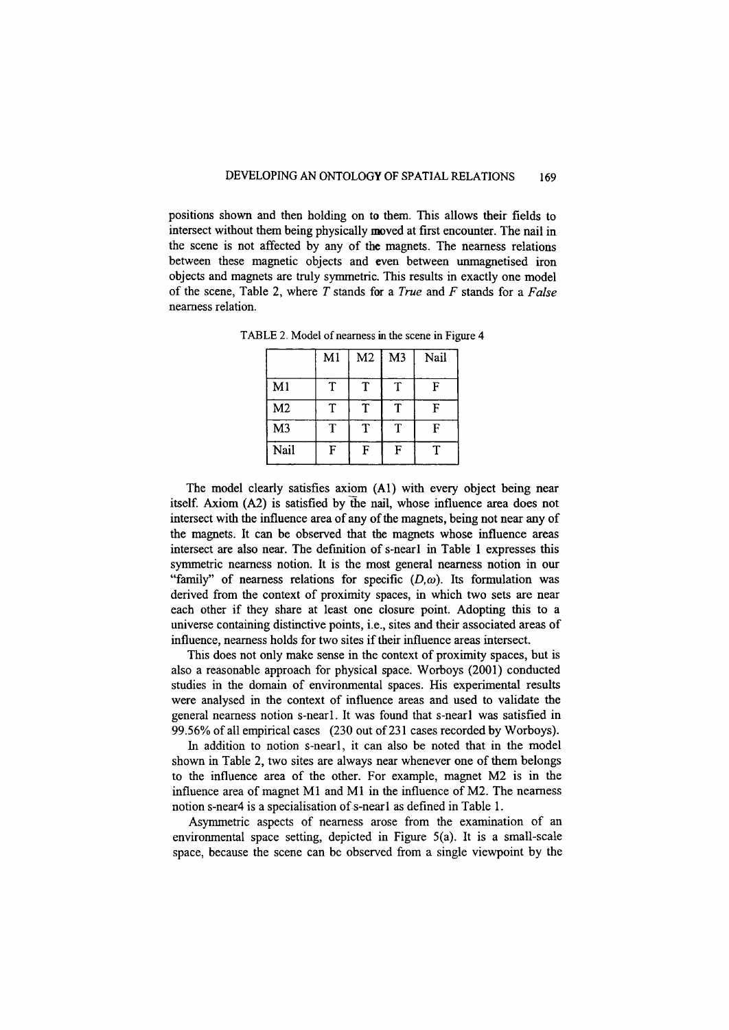positions shown and then holding on to them. This allows their fields to intersect without them being physically moved at first encounter. The nail in the scene is not affected by any of the magnets. The nearness relations between these magnetic objects and even between unmagnetised iron objects and magnets are truly symmetric. This results in exactly one model of the scene, Table 2, where *T* stands for a *True* and *F* stands for a *False* nearness relation.

|                | M <sub>1</sub> | M <sub>2</sub> | M <sub>3</sub> | Nail |
|----------------|----------------|----------------|----------------|------|
| M <sub>1</sub> | Т              | T              | T              | F    |
| M <sub>2</sub> | Τ              | T              | Τ              | F    |
| M <sub>3</sub> | т              | Ŧ              | Τ              | F    |
| Nail           | F              | F              | F              | т    |

TABLE 2. Model of nearness in the scene in Figure 4

The model clearly satisfies axiom (AI) with every object being near itself. Axiom (A2) is satisfied by the nail, whose influence area does not intersect with the influence area of any of the magnets, being not near any of the magnets. It can be observed that the magnets whose influence areas intersect are also near. The definition of s-nearl in Table 1 expresses this symmetric nearness notion. It is the most general nearness notion in our "family" of nearness relations for specific  $(D,\omega)$ . Its formulation was derived from the context of proximity spaces, in which two sets are near each other if they share at least one closure point. Adopting this to a universe containing distinctive points, i.e., sites and their associated areas of influence, nearness holds for two sites if their influence areas intersect.

This does not only make sense in the context of proximity spaces, but is also a reasonable approach for physical space. Worboys (2001) conducted studies in the domain of environmental spaces. His experimental results were analysed in the context of influence areas and used to validate the general nearness notion s-nearl, It was found that s-nearl was satisfied in 99.56% of all empirical cases (230 out of 231 cases recorded by Worboys).

In addition to notion s-nearl, it can also be noted that in the model shown in Table 2, two sites are always near whenever one of them belongs to the influence area of the other. For example, magnet M2 is in the influence area of magnet MI and MI in the influence of M2. The nearness notion s-near4 is a specialisation of s-nearl as defined in Table 1.

Asymmetric aspects of nearness arose from the examination of an environmental space setting, depicted in Figure 5(a). It is a small-scale space, because the scene can be observed from a single viewpoint by the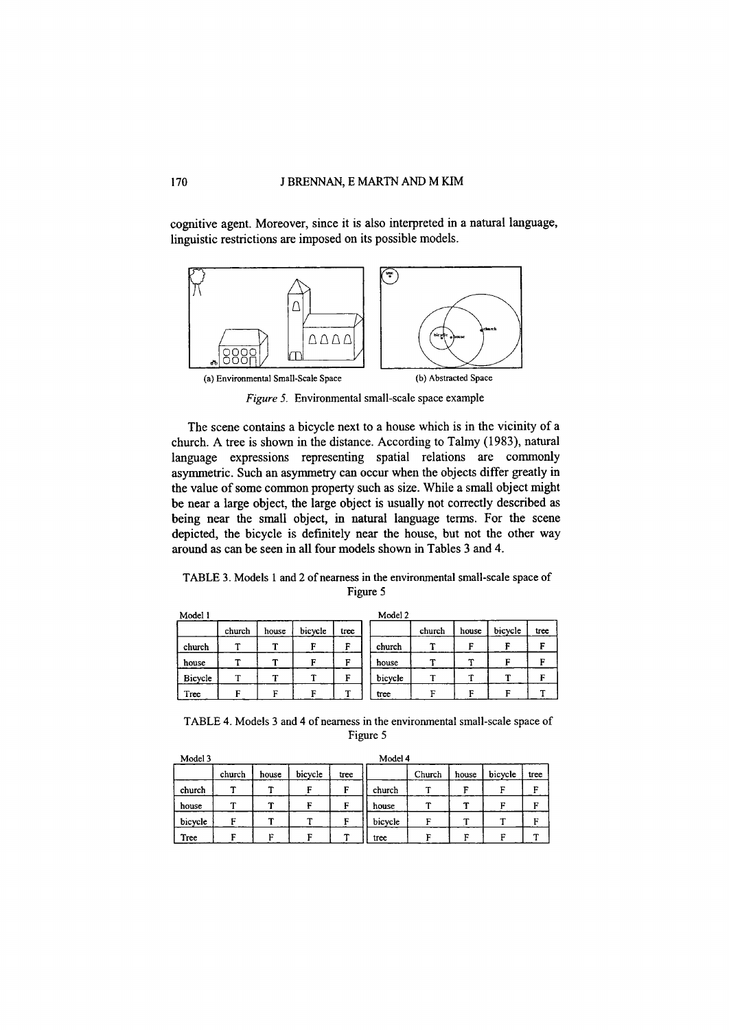cognitive agent. Moreover, since it is also interpreted in a natural language, linguistic restrictions are imposed on its possible models.



Figure 5. Environmental small-scale space example

The scene contains a bicycle next to a house which is in the vicinity of a church. A tree is shown in the distance. According to Talmy (1983), natural language expressions representing spatial relations are commonly asymmetric. Such an asymmetry can occur when the objects differ greatly in the value of some common property such as size. While a small object might be near a large object, the large object is usually not correctly described as being near the small object, in natural language terms. For the scene depicted, the bicycle is definitely near the house, but not the other way around as can be seen in all four models shown in Tables 3 and 4.

TABLE 3. Models 1 and 2 of nearness in the environmental small-scale space of Figure 5

| Model 1 |        |           |         | Model 2 |         |        |       |         |      |  |  |  |
|---------|--------|-----------|---------|---------|---------|--------|-------|---------|------|--|--|--|
|         | church | house     | bicycle | tree    |         | church | house | bicycle | tree |  |  |  |
| church  |        | <b>TP</b> | с       | F       | church  |        | F     |         |      |  |  |  |
| house   |        |           |         | п       | house   |        | ÷     |         | Е    |  |  |  |
| Bicycle | ᠇      |           |         | F       | bicycle |        |       |         | F    |  |  |  |
| Tree    | г      | r         |         | m       | tree    | г      | г     |         |      |  |  |  |

TABLE 4. Models 3 and 4 of nearness in the environmental small-scale space of Figure 5

| Model 3 |        |       |         |      | Model 4 |        |       |         |      |
|---------|--------|-------|---------|------|---------|--------|-------|---------|------|
|         | church | house | bicycle | tree |         | Church | house | bicycle | tree |
| church  |        |       | с       | F    | church  |        | г     | F       | E    |
| house   | ᠁      | ᠇     | F       | F    | house   |        |       | F       | Е    |
| bicycle | G      |       |         | F    | bicycle |        | æ     | T       | F    |
| Tree    |        | r.    | r       |      | tree    |        | F     | г.      |      |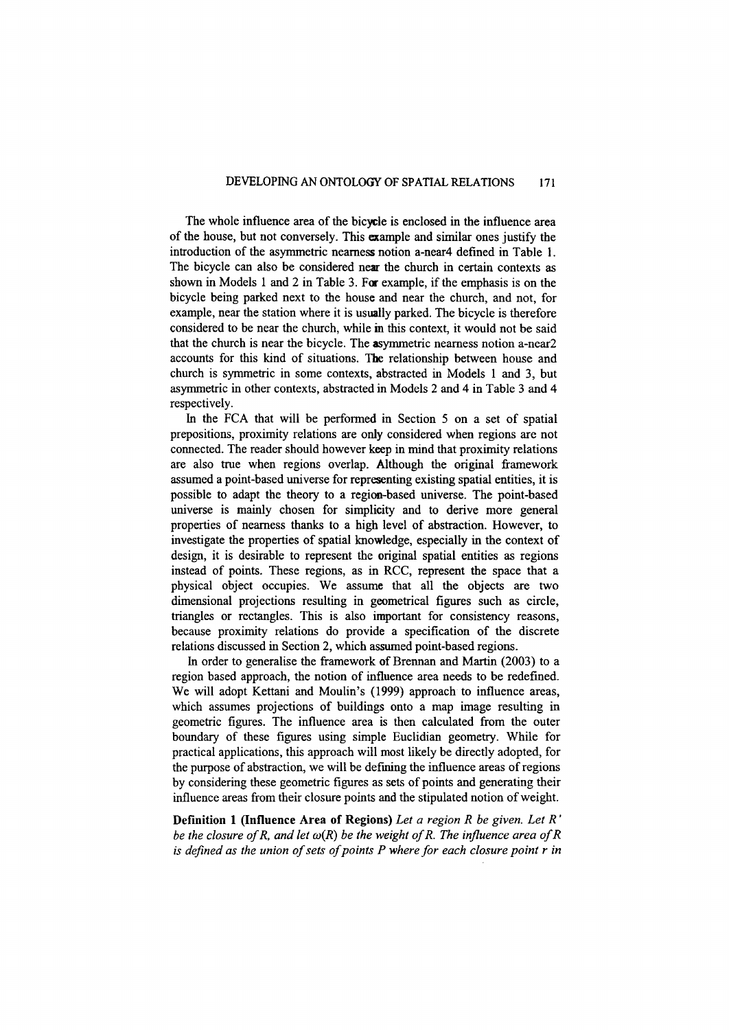The whole influence area of the bicycle is enclosed in the influence area of the house, but not conversely. This example and similar ones justify the introduction of the asymmetric nearness notion a-near4 defined in Table I. The bicycle can also be considered near the church in certain contexts as shown in Models I and 2 in Table 3. For example, if the emphasis is on the bicycle being parked next to the house and near the church, and not, for example, near the station where it is usually parked. The bicycle is therefore considered to be near the church, while in this context, it would not be said that the church is near the bicycle. The asymmetric nearness notion a-near2 accounts for this kind of situations. The relationship between house and church is symmetric in some contexts, abstracted in Models I and 3, but asymmetric in other contexts, abstracted in Models 2 and 4 in Table 3 and 4 respectively.

In the FCA that will be performed in Section 5 on a set of spatial prepositions, proximity relations are only considered when regions are not connected. The reader should however keep in mind that proximity relations are also true when regions overlap. Although the original framework assumed a point-based universe for representing existing spatial entities, it is possible to adapt the theory to a region-based universe. The point-based universe is mainly chosen for simplicity and to derive more general properties of nearness thanks to a high level of abstraction. However, to investigate the properties of spatial knowledge, especially in the context of design, it is desirable to represent the original spatial entities as regions instead of points. These regions, as in RCC, represent the space that a physical object occupies. We assume that all the objects are two dimensional projections resulting in geometrical figures such as circle, triangles or rectangles. This is also important for consistency reasons, because proximity relations do provide a specification of the discrete relations discussed in Section 2, which assumed point-based regions.

In order to generalise the framework of Brennan and Martin (2003) to a region based approach, the notion of influence area needs to be redefined. We will adopt Kettani and Moulin's (1999) approach to influence areas, which assumes projections of buildings onto a map image resulting in geometric figures. The influence area is then calculated from the outer boundary of these figures using simple Euclidian geometry. While for practical applications, this approach will most likely be directly adopted, for the purpose of abstraction, we will be defining the influence areas of regions by considering these geometric figures as sets of points and generating their influence areas from their closure points and the stipulated notion of weight.

Definition 1 (Influence Area of Regions) *Let a region R be given. Let R' be the closure of R, and let w(R) be the weight of R. The influence area of R is defined as the union of sets of points P where for each closure point r in*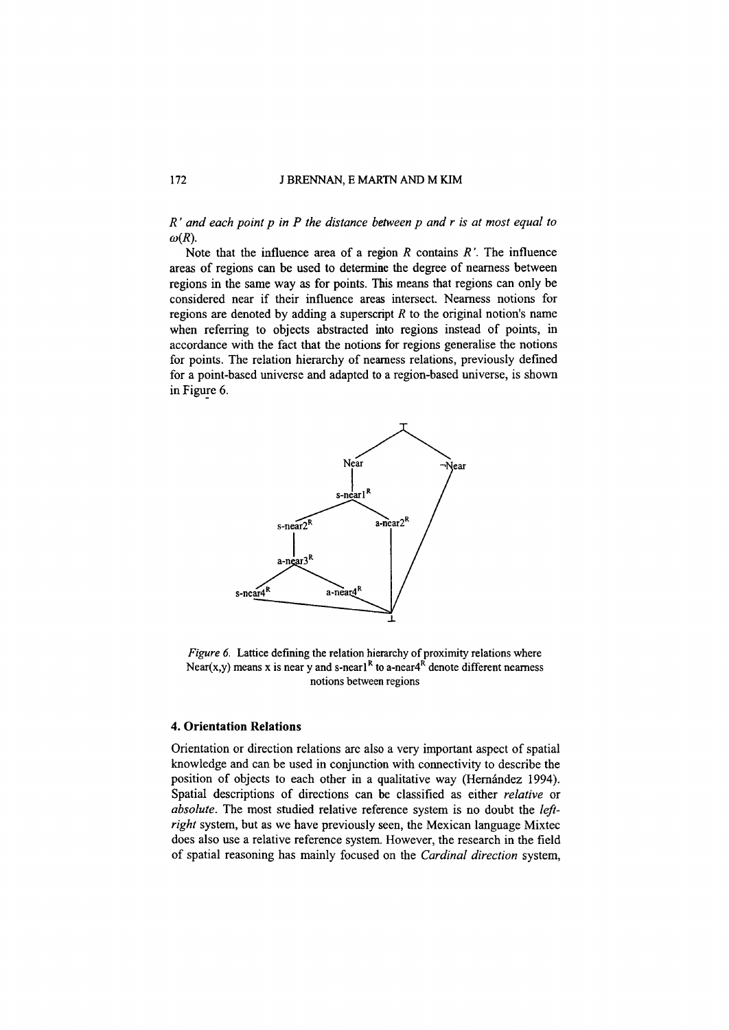## 172 J BRENNAN, E MARTN AND M KIM

*R' and each point p in P the distance between p and r is at most equal to*  $\omega(R)$ .

Note that the influence area of a region *R* contains *R '.* The influence areas of regions can be used to determine the degree of nearness between regions in the same way as for points. This means that regions can only be considered near if their influence areas intersect. Nearness notions for regions are denoted by adding a superscript *R* to the original notion's name when referring to objects abstracted into regions instead of points, in accordance with the fact that the notions for regions generalise the notions for points. The relation hierarchy of nearness relations, previously defined for a point-based universe and adapted to a region-based universe, is shown in Figure 6.



*Figure* 6. Lattice defining the relation hierarchy of proximity relations where Near(x,y) means x is near y and s-nearl<sup>R</sup> to a-near<sup>4R</sup> denote different nearness notions between regions

## **4. Orientation Relations**

Orientation or direction relations are also a very important aspect of spatial knowledge and can be used in conjunction with connectivity to describe the position of objects to each other in a qualitative way (Hernández 1994). Spatial descriptions of directions can be classified as either *relative* or *absolute.* The most studied relative reference system is no doubt the *leftright* system, but as we have previously seen, the Mexican language Mixtec does also use a relative reference system. However, the research in the field of spatial reasoning has mainly focused on the *Cardinal direction* system,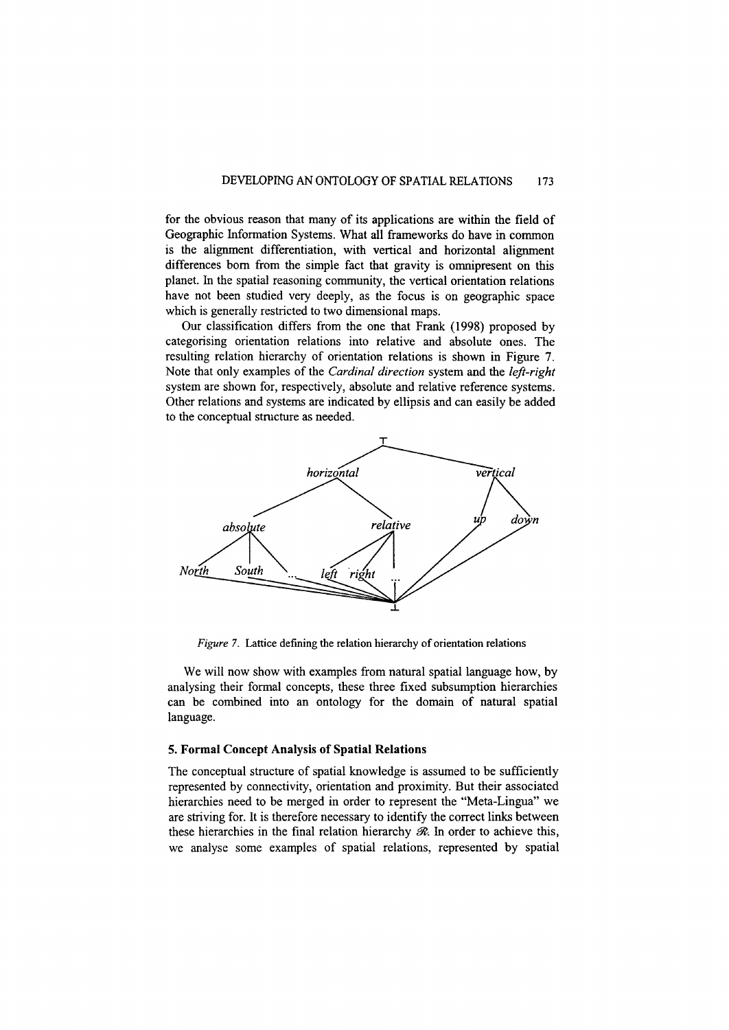for the obvious reason that many of its applications are within the field of Geographic Information Systems. What all frameworks do have in common is the alignment differentiation, with vertical and horizontal alignment differences born from the simple fact that gravity is omnipresent on this planet. In the spatial reasoning community, the vertical orientation relations have not been studied very deeply, as the focus is on geographic space which is generally restricted to two dimensional maps.

Our classification differs from the one that Frank (1998) proposed by categorising orientation relations into relative and absolute ones. The resulting relation hierarchy of orientation relations is shown in Figure 7. Note that only examples of the *Cardinal direction* system and the *left-right* system are shown for, respectively, absolute and relative reference systems. Other relations and systems are indicated by ellipsis and can easily be added to the conceptual structure as needed.



*Figure* 7. Lattice defining the relation hierarchy of orientation relations

We will now show with examples from natural spatial language how, by analysing their formal concepts, these three fixed subsumption hierarchies can be combined into an ontology for the domain of natural spatial language.

## 5. Formal Concept Analysis of Spatial Relations

The conceptual structure of spatial knowledge is assumed to be sufficiently represented by connectivity, orientation and proximity. But their associated hierarchies need to be merged in order to represent the "Meta-Lingua" we are striving for. It is therefore necessary to identify the correct links between these hierarchies in the final relation hierarchy *R*. In order to achieve this, we analyse some examples of spatial relations, represented by spatial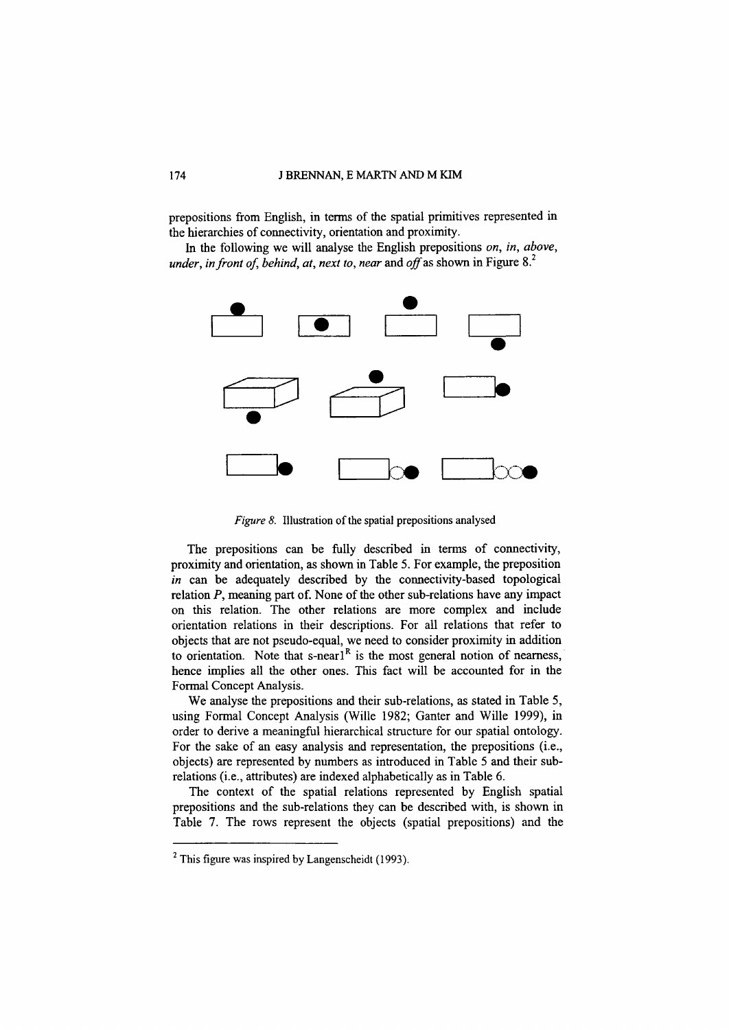prepositions from English, in terms of the spatial primitives represented in the hierarchies of connectivity, orientation and proximity.

In the following we will analyse the English prepositions *on, in, above, under, in front of, behind, at, next to, near and off as shown in Figure 8.*<sup>2</sup>



*Figure* 8. Illustration of the spatial prepositions analysed

The prepositions can be fully described in terms of connectivity, proximity and orientation, as shown in Table 5. For example, the preposition *in* can be adequately described by the connectivity-based topological relation *P,* meaning part of. None of the other sub-relations have any impact on this relation. The other relations are more complex and include orientation relations in their descriptions. For all relations that refer to objects that are not pseudo-equal, we need to consider proximity in addition to orientation. Note that  $s$ -nearl<sup>R</sup> is the most general notion of nearness, hence implies all the other ones. This fact will be accounted for in the Formal Concept Analysis.

We analyse the prepositions and their sub-relations, as stated in Table 5, using Formal Concept Analysis (Wille 1982; Ganter and Wille 1999), in order to derive a meaningful hierarchical structure for our spatial ontology. For the sake of an easy analysis and representation, the prepositions (i.e., objects) are represented by numbers as introduced in Table 5 and their subrelations (i.e., attributes) are indexed alphabetically as in Table 6.

The context of the spatial relations represented by English spatial prepositions and the sub-relations they can be described with, is shown in Table 7. The rows represent the objects (spatial prepositions) and the

 $<sup>2</sup>$  This figure was inspired by Langenscheidt (1993).</sup>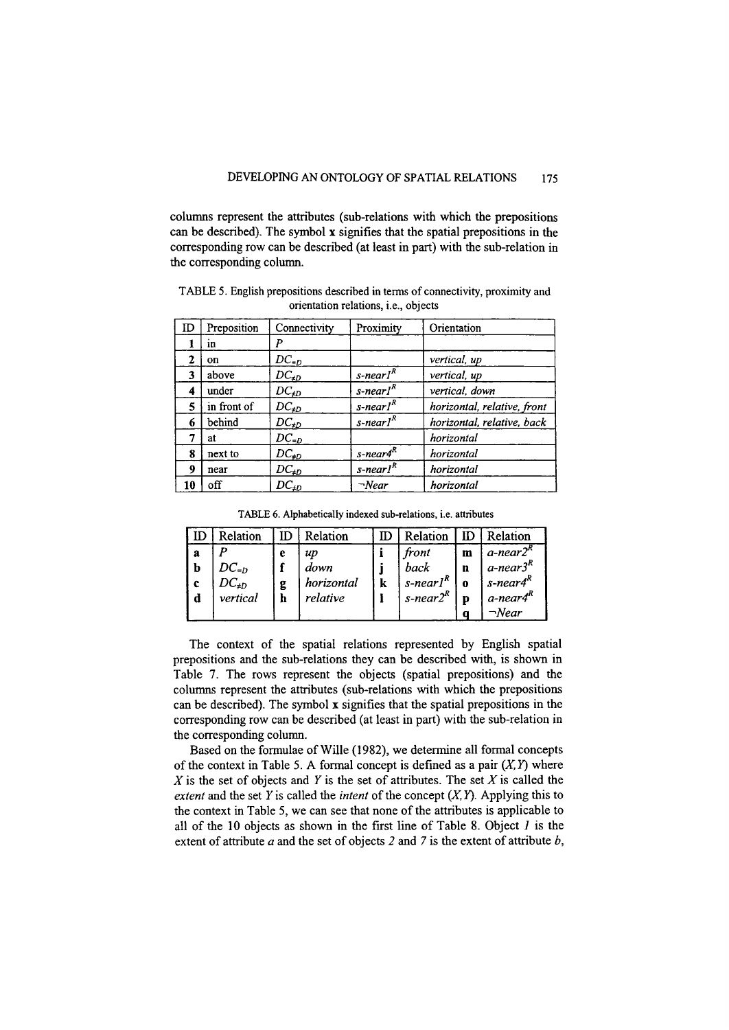columns represent the attributes (sub-relations with which the prepositions can be described). The symbol x signifies that the spatial prepositions in the corresponding row can be described (at least in part) with the sub-relation in the corresponding column.

| ID | Preposition | Connectivity  | Proximity                            | Orientation                 |
|----|-------------|---------------|--------------------------------------|-----------------------------|
|    | m           | Р             |                                      |                             |
| 2  | on          | $DC_{=D}$     |                                      | vertical, up                |
| 3  | above       | $DC_{\neq D}$ | s-nearl <sup>R</sup>                 | vertical, up                |
| 4  | under       | $DC_{\neq D}$ | $s$ -nearl <sup>R</sup>              | vertical, down              |
| 5  | in front of | $DC_{\neq D}$ | s-nearl <sup>R</sup>                 | horizontal, relative, front |
| 6  | behind      | $DC_{\neq D}$ | $s$ -nearl <sup><math>R</math></sup> | horizontal, relative, back  |
| 7  | at          | $DC_{=D}$     |                                      | horizontal                  |
| 8  | next to     | $DC_{\neq D}$ | s-near4 <sup>R</sup>                 | horizontal                  |
| 9  | near        | $DC_{\neq D}$ | $s$ -nearl <sup>R</sup>              | horizontal                  |
| 10 | off         | $DC_{\neq D}$ | $\neg$ Near                          | horizontal                  |

TABLE 5. English prepositions described in terms of connectivity, proximity and orientation relations, i.e., objects

TABLE 6. Alphabetically indexed sub-relations, i.e. attributes

|                  | Relation                   | ID | Relation           | $\mathbb{D}$ | Relation                          | ID     | <i>Relation</i>                        |
|------------------|----------------------------|----|--------------------|--------------|-----------------------------------|--------|----------------------------------------|
| а                |                            | e  | up                 |              | front                             | m      | $a$ -near $2r$                         |
| b<br>$\mathbf c$ | $DC_{=D}$<br>$DC_{\neq D}$ | g  | down<br>horizontal | k            | back<br>$s$ -nearl <sup>R</sup> , | n<br>0 | $a$ -near $3R$<br>s-near4 <sup>R</sup> |
| d                | vertical                   | h  | relative           |              | $s$ -near $2^R$                   | n      | a-near4 $R$                            |
|                  |                            |    |                    |              |                                   |        | $\neg$ Near                            |

The context of the spatial relations represented by English spatial prepositions and the sub-relations they can be described with, is shown in Table 7. The rows represent the objects (spatial prepositions) and the columns represent the attributes (sub-relations with which the prepositions can be described). The symbol x signifies that the spatial prepositions in the corresponding row can be described (at least in part) with the sub-relation in the corresponding column.

Based on the formulae of Wille (1982), we determine all formal concepts of the context in Table 5. A formal concept is defined as a pair  $(X, Y)$  where *X* is the set of objects and *Y* is the set of attributes. The set *X* is called the *extent* and the set  $Y$  is called the *intent* of the concept  $(X, Y)$ . Applying this to the context in Table 5, we can see that none of the attributes is applicable to all of the 10 objects as shown in the first line of Table 8. Object *1* is the extent of attribute *a* and the set of objects 2 and 7 is the extent of attribute *b,*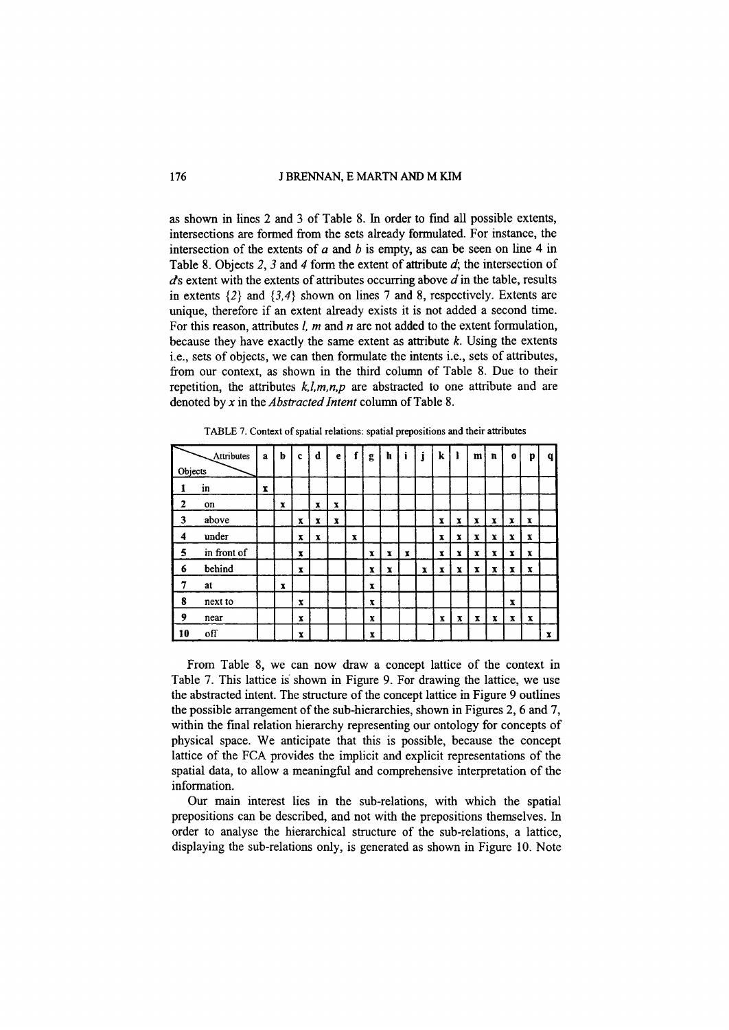#### 176 J BRENNAN, E MARTN AND M KIM

as shown in lines 2 and 3 of Table 8. In order to find all possible extents, intersections are formed from the sets already formulated. For instance, the intersection of the extents of *a* and *b* is empty, as can be seen on line 4 in Table 8. Objects 2, 3 and 4 form the extent of attribute *d;* the intersection of *ds* extent with the extents of attributes occurring above *d* in the table, results in extents  $\{2\}$  and  $\{3,4\}$  shown on lines 7 and 8, respectively. Extents are unique, therefore if an extent already exists it is not added a second time. For this reason, attributes *I, m* and *n* are not added to the extent formulation, because they have exactly the same extent as attribute *k.* Using the extents i.e., sets of objects, we can then formulate the intents i.e., sets of attributes, from our context, as shown in the third column of Table 8. Due to their repetition, the attributes  $k, l, m, n, p$  are abstracted to one attribute and are denoted by *x* in the *Abstracted Intent* column of Table 8.

|         | Attributes  | $\mathbf{a}$ | b | $\mathbf{c}$ | d                         | e           |             | g            | h | i            |              | k                         |             | m | $\mathbf{n}$ | $\bf o$                   | p           | $\mathbf{q}$ |
|---------|-------------|--------------|---|--------------|---------------------------|-------------|-------------|--------------|---|--------------|--------------|---------------------------|-------------|---|--------------|---------------------------|-------------|--------------|
| Objects |             |              |   |              |                           |             |             |              |   |              |              |                           |             |   |              |                           |             |              |
|         | in          | x            |   |              |                           |             |             |              |   |              |              |                           |             |   |              |                           |             |              |
| 2       | on          |              | x |              | $\boldsymbol{x}$          | $\mathbf x$ |             |              |   |              |              |                           |             |   |              |                           |             |              |
| 3       | above       |              |   | x            | $\boldsymbol{\mathrm{x}}$ | $\mathbf x$ |             |              |   |              |              | $\boldsymbol{\mathrm{x}}$ | x           | x | $\mathbf{x}$ | $\mathbf{x}$              | $\mathbf x$ |              |
| 4       | under       |              |   | x            | x                         |             | $\mathbf x$ |              |   |              |              | x                         | x           | x | x            | $\boldsymbol{\mathrm{x}}$ | x           |              |
| 5       | in front of |              |   | x            |                           |             |             | $\mathbf{x}$ | x | $\mathbf{x}$ |              | x                         | x           | x | x            | x                         | x           |              |
| 6       | behind      |              |   | x            |                           |             |             | x            | x |              | $\mathbf{x}$ | $\mathbf{x}$              | x           | x | x            | x                         | x           |              |
| 7       | at          |              | X |              |                           |             |             | X            |   |              |              |                           |             |   |              |                           |             |              |
| 8       | next to     |              |   | X            |                           |             |             | x            |   |              |              |                           |             |   |              | $\mathbf x$               |             |              |
| 9       | near        |              |   | x            |                           |             |             | x            |   |              |              | $\boldsymbol{\mathrm{x}}$ | $\mathbf x$ | x | x            | x                         | x           |              |
| 10      | off         |              |   | X            |                           |             |             | X            |   |              |              |                           |             |   |              |                           |             | $\mathbf x$  |

TABLE 7. Context of spatial relations: spatial prepositions and their attributes

From Table 8, we can now draw a concept lattice of the context in Table 7. This lattice is'shown in Figure 9. For drawing the lattice, we use the abstracted intent. The structure of the concept lattice in Figure 9 outlines the possible arrangement of the sub-hierarchies, shown in Figures 2,6 and 7, within the final relation hierarchy representing our ontology for concepts of physical space. We anticipate that this is possible, because the concept lattice of the FCA provides the implicit and explicit representations of the spatial data, to allow a meaningful and comprehensive interpretation of the information.

Our main interest lies in the sub-relations, with which the spatial prepositions can be described, and not with the prepositions themselves. In order to analyse the hierarchical structure of the sub-relations, a lattice, displaying the sub-relations only, is generated as shown in Figure 10. Note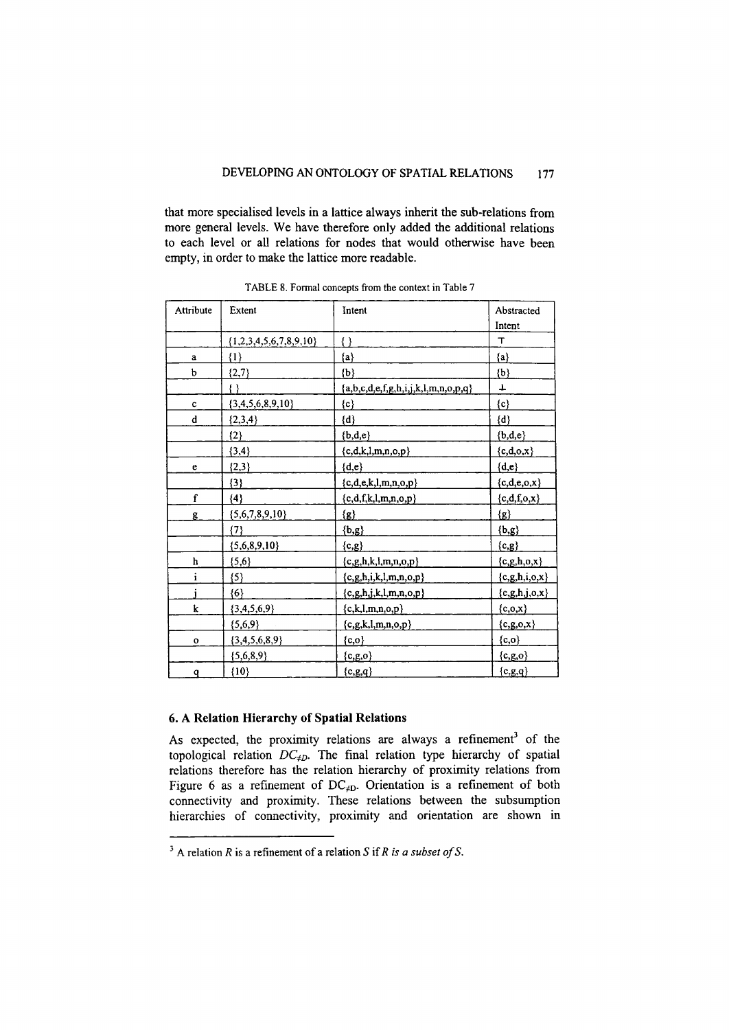that more specialised levels in a lattice always inherit the sub-relations from more general levels. We have therefore only added the additional relations to each level or all relations for nodes that would otherwise have been empty, in order to make the lattice more readable.

| Attribute    | Extent                     | Intent                                | Abstracted           |
|--------------|----------------------------|---------------------------------------|----------------------|
|              |                            |                                       | Intent               |
|              | $\{1,2,3,4,5,6,7,8,9,10\}$ | 1)                                    | т                    |
| $\mathbf{a}$ | $\{1\}$                    | ${a}$                                 | ${a}$                |
| $\mathbf b$  | ${2,7}$                    | ${b}$                                 | ${b}$                |
|              | { }                        | ${a,b,c,d,e,f,g,h,i,j,k,l,m,n,o,p,q}$ | ┻                    |
| $\mathbf c$  | ${3,4,5,6,8,9,10}$         | $\{{\tt c}\}$                         | $\{c\}$              |
| d            | $\{2,3,4\}$                | $\{d\}$                               | $\{d\}$              |
|              | $\{2\}$                    | ${b,d,e}$                             | ${b,d,e}$            |
|              | ${3, 4}$                   | ${c,d,k,l,m,n,o,p}$                   | ${c,d,o,x}$          |
| e            | ${2,3}$                    | ${d,e}$                               | ${d,e}$              |
|              | ${3}$                      | ${c,d,e,k,l,m,n,o,p}$                 | ${c,d,e,o,x}$        |
| f            | ${4}$                      | ${c,d,f,k,l,m,n,o,p}$                 | ${c,d,f,o,x}$        |
| g            | ${5,6,7,8,9,10}$           | $\{g\}$                               | $\{g\}$              |
|              | $\{7\}$                    | ${b,g}$                               | ${b,g}$              |
|              | ${5,6,8,9,10}$             | ${c,g}$                               | ${c,g}$              |
| h            | ${5,6}$                    | ${c,g,h,k,l,m,n,o,p}$                 | ${c,g,h,o,x}$        |
| i            | ${5}$                      | $\{c,g,h,i,k,l,m,n,o,p\}$             | ${c, g, h, i, o, x}$ |
|              | $\{6\}$                    | ${c,g,h,j,k,l,m,n,o,p}$               | ${c, g, h, j, o, x}$ |
| k            | ${3,4,5,6,9}$              | ${c,k,l,m,n,o,p}$                     | ${c,o,x}$            |
|              | ${5,6,9}$                  | ${c,g,k,l,m,n,o,p}$                   | ${c,g,o,x}$          |
| $\mathbf{o}$ | ${3,4,5,6,8,9}$            | $\{c,o\}$                             | ${c,o}$              |
|              | ${5,6,8,9}$                | ${c,g,o}$                             | ${c,g,o}$            |
| q            | ${10}$                     | ${c,g,q}$                             | ${c,g,q}$            |

TABLE 8. Formal concepts from the context in Table 7

## 6. A Relation Hierarchy of Spatial Relations

As expected, the proximity relations are always a refinement' of the topological relation  $DC_{\neq D}$ . The final relation type hierarchy of spatial relations therefore has the relation hierarchy of proximity relations from Figure 6 as a refinement of *DCtD.* Orientation is a refinement of both connectivity and proximity. These relations between the subsumption hierarchies of connectivity, proximity and orientation are shown in

<sup>3</sup> A relation *R* is a refinement of a relation S if *R* is *a subset of* S.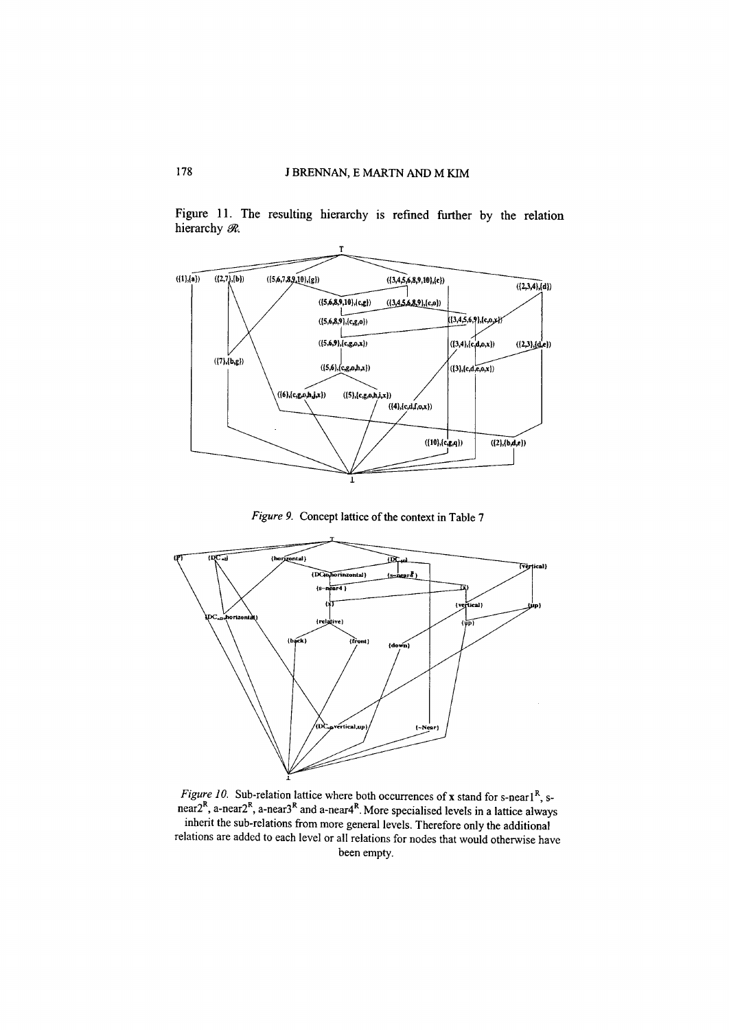

Figure 11. The resulting hierarchy is refmed further by the relation hierarchy  $\mathcal{R}$ .

*Figure* 9. Concept lattice of the context in Table 7



*Figure 10.* Sub-relation lattice where both occurrences of x stand for s-nearl<sup>R</sup>, snear2<sup>k</sup>, a-near2<sup>k</sup>, a-near3<sup>k</sup> and a-near4<sup>k</sup>. More specialised levels in a lattice always inherit the sub-relations from more general levels. Therefore only the additional relations are added to each level or all relations for nodes that would otherwise have been empty.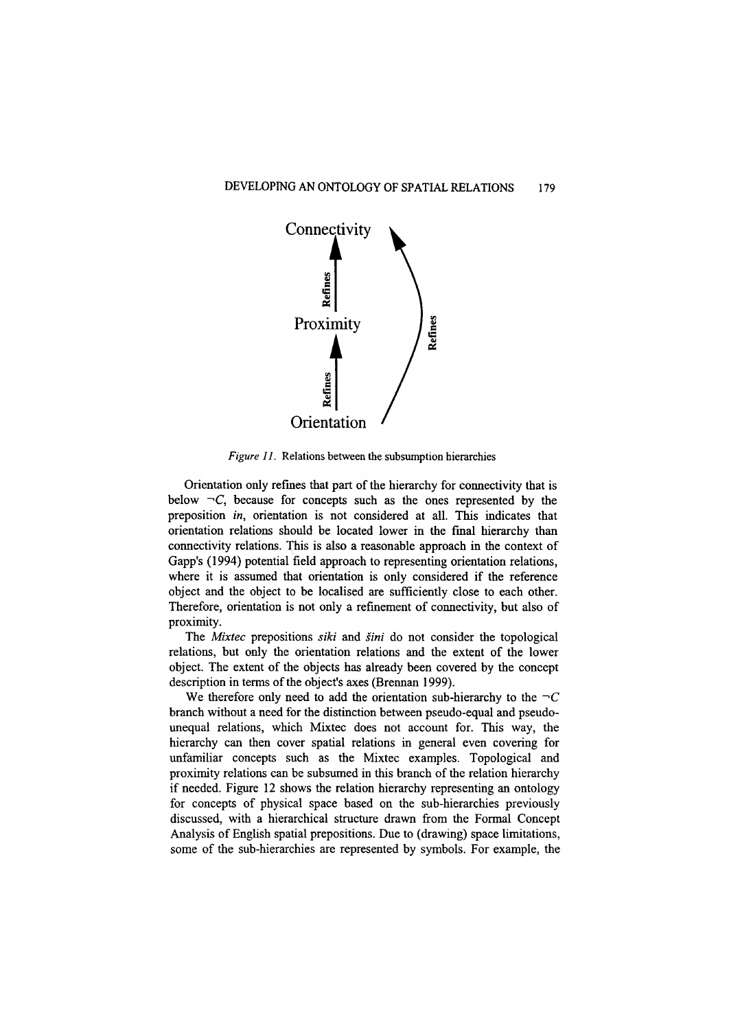

*Figure* 11. Relations between the subsumption hierarchies

Orientation only refines that part of the hierarchy for connectivity that is below  $\neg C$ , because for concepts such as the ones represented by the preposition *in,* orientation is not considered at all. This indicates that orientation relations should be located lower in the final hierarchy than connectivity relations. This is also a reasonable approach in the context of Gapp's (1994) potential field approach to representing orientation relations, where it is assumed that orientation is only considered if the reference object and the object to be localised are sufficiently close to each other. Therefore, orientation is not only a refmement of connectivity, but also of proximity.

The *Mixtec* prepositions *siki* and *sini* do not consider the topological relations, but only the orientation relations and the extent of the lower object. The extent of the objects has already been covered by the concept description in terms of the object's axes (Brennan 1999).

We therefore only need to add the orientation sub-hierarchy to the  $\neg C$ branch without a need for the distinction between pseudo-equal and pseudounequal relations, which Mixtec does not account for. This way, the hierarchy can then cover spatial relations in general even covering for unfamiliar concepts such as the Mixtec examples. Topological and proximity relations can be subsumed in this branch of the relation hierarchy if needed. Figure 12 shows the relation hierarchy representing an ontology for concepts of physical space based on the sub-hierarchies previously discussed, with a hierarchical structure drawn from the Formal Concept Analysis of English spatial prepositions. Due to (drawing) space limitations, some of the sub-hierarchies are represented by symbols. For example, the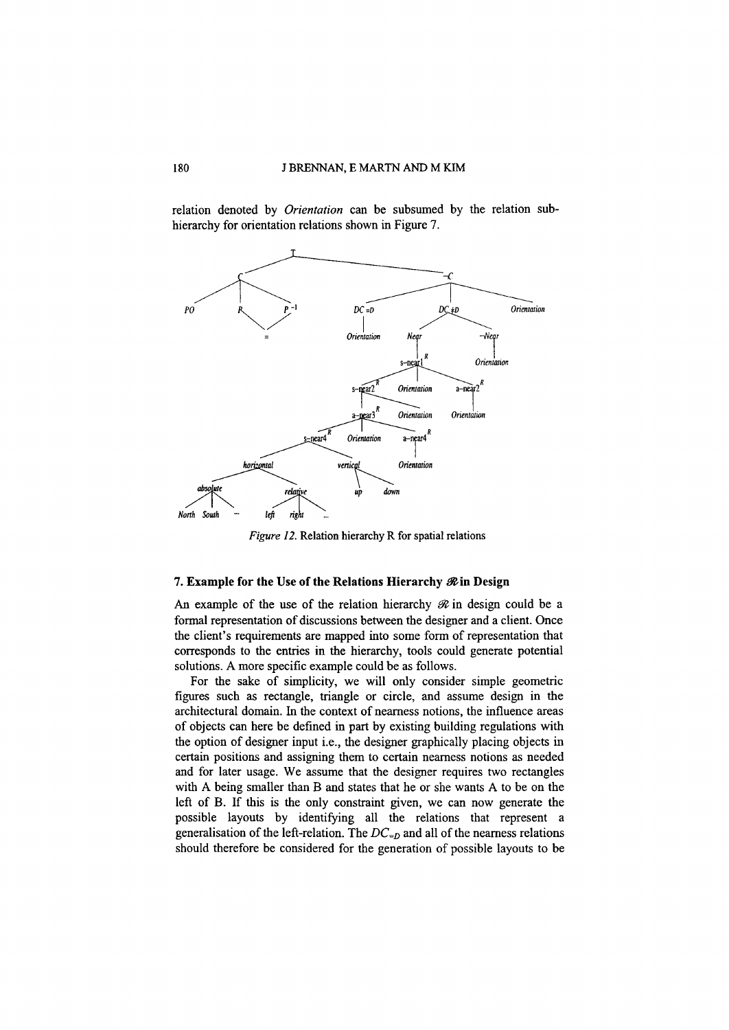relation denoted by *Orientation* can be subsumed by the relation subhierarchy for orientation relations shown in Figure 7.



*Figure 12.* Relation hierarchy R for spatial relations

## 7. Example for the Use of the Relations Hierarchy  $\mathcal R$  in Design

An example of the use of the relation hierarchy  $\mathcal R$  in design could be a formal representation of discussions between the designer and a client. Once the client's requirements are mapped into some form of representation that corresponds to the entries in the hierarchy, tools could generate potential solutions. A more specific example could be as follows.

For the sake of simplicity, we will only consider simple geometric figures such as rectangle, triangle or circle, and assume design in the architectural domain. In the context of nearness notions, the influence areas of objects can here be defined in part by existing building regulations with the option of designer input i.e., the designer graphically placing objects in certain positions and assigning them to certain nearness notions as needed and for later usage. We assume that the designer requires two rectangles with A being smaller than B and states that he or she wants A to be on the left of B. If this is the only constraint given, we can now generate the possible layouts by identifying all the relations that represent a generalisation of the left-relation. The  $DC_{=D}$  and all of the nearness relations should therefore be considered for the generation of possible layouts to be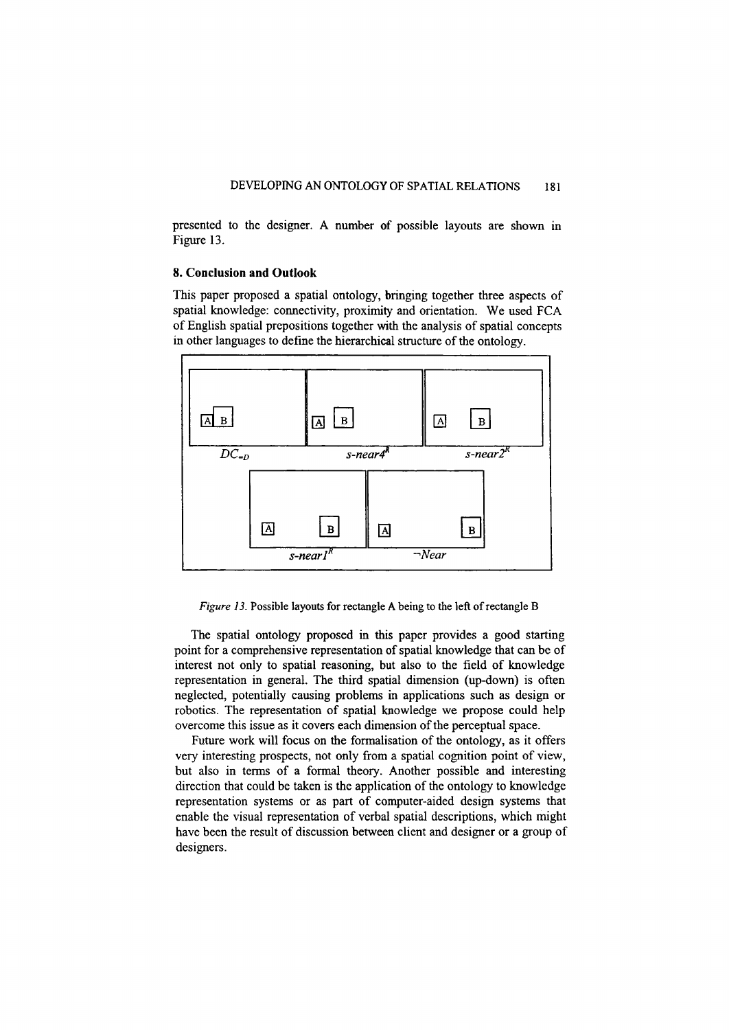presented to the designer. A number of possible layouts are shown in Figure 13.

# **8. Conclusion and Outlook**

This paper proposed a spatial ontology, bringing together three aspects of spatial knowledge: connectivity, proximity and orientation. We used FCA of English spatial prepositions together with the analysis of spatial concepts in other languages to define the hierarchical structure of the ontology.



*Figure* 13. Possible layouts for rectangle A being to the left of rectangle B

The spatial ontology proposed in this paper provides a good starting point for a comprehensive representation of spatial knowledge that can be of interest not only to spatial reasoning, but also to the field of knowledge representation in general. The third spatial dimension (up-down) is often neglected, potentially causing problems in applications such as design or robotics. The representation of spatial knowledge we propose could help overcome this issue as it covers each dimension of the perceptual space.

Future work will focus on the formalisation of the ontology, as it offers very interesting prospects, not only from a spatial cognition point of view, but also in terms of a formal theory. Another possible and interesting direction that could be taken is the application of the ontology to knowledge representation systems or as part of computer-aided design systems that enable the visual representation of verbal spatial descriptions, which might have been the result of discussion between client and designer or a group of designers.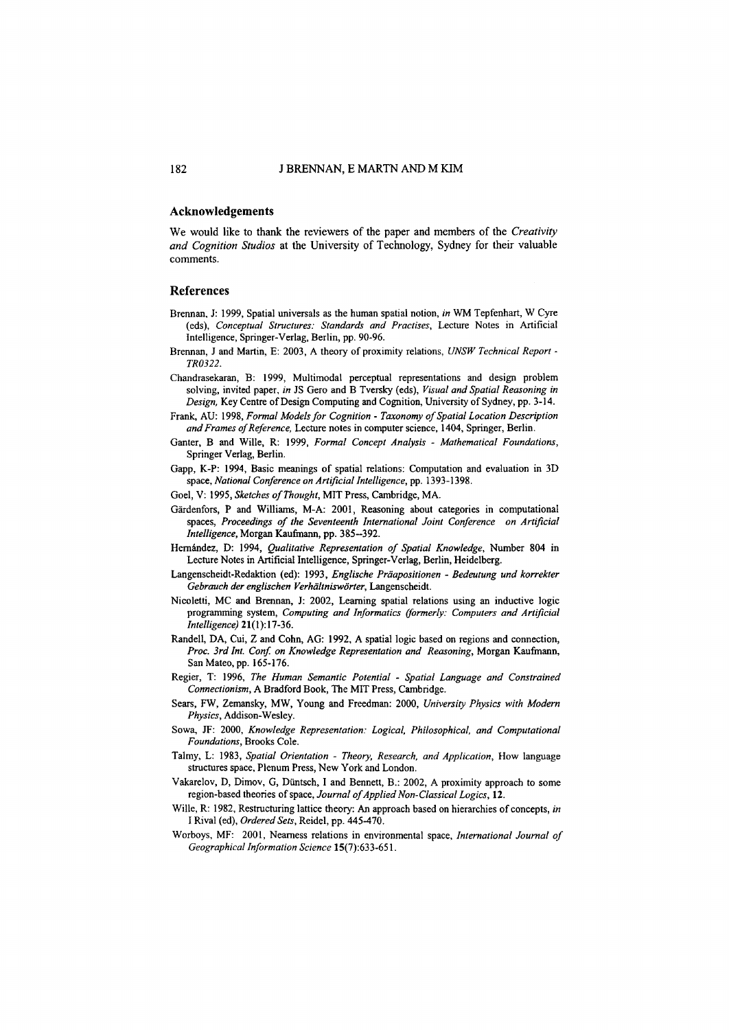#### **Acknowledgements**

We would like to thank the reviewers of the paper and members of the *Creativity and Cognition Studios* at the University of Technology, Sydney for their valuable comments.

#### **References**

- Brennan, J: 1999, Spatial universals as the human spatial notion, *in* WM Tepfenhart, W Cyre (eds), *Conceptual Structures: Standards and Practises,* Lecture Notes in Artificial Intelligence, Springer-Verlag, Berlin, pp. 90-96.
- Brennan, J and Martin, E: 2003, A theory of proximity relations, *UNSW Technical Report - TR0322.*
- Chandrasekaran, B: 1999, Multimodal perceptual representations and design problem solving, invited paper, *in* JS Gero and B Tversky (eds), *Visual and Spatial Reasoning in Design,* Key Centre of Design Computing and Cognition, University of Sydney, pp. 3-14.
- Frank, AU: 1998, *Formal Models for Cognition - Taxonomy of Spatial Location Description and Frames of Reference,* Lecture notes in computer science, 1404, Springer, Berlin.
- Ganter, B and Wille, R: 1999, *Formal Concept Analysis - Mathematical Foundations,* Springer Verlag, Berlin.
- Gapp, K-P: 1994, Basic meanings of spatial relations: Computation and evaluation in 3D space, *National Conference on Artificial Intelligence,* pp. 1393-1398.
- Goel, V: 1995, *Sketches of Thought,* MIT Press, Cambridge, MA.
- Gardenfors, P and Williams, M-A: 2001, Reasoning about categories in computational spaces, *Proceedings of the Seventeenth International Joint Conference on Artificial Intelligence,* Morgan Kaufmann, pp. 385-392.
- Hernandez, D: 1994, *Qualitative Representation of Spatial Knowledge,* Number 804 in Lecture Notes in Artificial Intelligence, Springer-Verlag, Berlin, Heidelberg.
- Langenscheidt-Redaktion (ed): 1993, *Englische Prdapositionen - Bedeutung und korrekter Gebrauch der englischen Verhdltnisworter,* Langenscheidt.
- Nicoletti, MC and Brennan, J: 2002, Learning spatial relations using an inductive logic programming system, *Computing and Informatics (formerly: Computers and Artificial Intelligence) 21(1):17-36.*
- Randell, DA, Cui, Z and Cohn, AG: 1992, A spatial logic based on regions and connection, *Proc. 3rd Int. Con! on Knowledge Representation and Reasoning,* Morgan Kaufmann, San Mateo, pp. 165-176.
- Regier, T: 1996, *The Human Semantic Potential - Spatial Language and Constrained Connectionism,* A Bradford Book, The MIT Press, Cambridge.
- Sears, FW, Zemansky, MW, Young and Freedman: 2000, *University Physics with Modern Physics,* Addison-Wesley.
- Sowa, JF: 2000, *Knowledge Representation: Logical. Philosophical, and Computational Foundations,* Brooks Cole.
- Talmy, L: 1983, *Spatial Orientation - Theory. Research. and Application,* How language structures space, Plenum Press, New York and London.
- Vakarelov, D, Dimov, G, Düntsch, I and Bennett, B.: 2002, A proximity approach to some region-based theories of space, *Journal of Applied Non-Classical Logics, 12.*
- Wille, R: 1982, Restructuring lattice theory: An approach based on hierarchies of concepts, *in* I Rival (ed), *Ordered Sets,* Reidel, pp. 445-470.
- Worboys, MF: 2001, Nearness relations in environmental space, *International Journal of Geographical Information Science 15(7):633-651.*